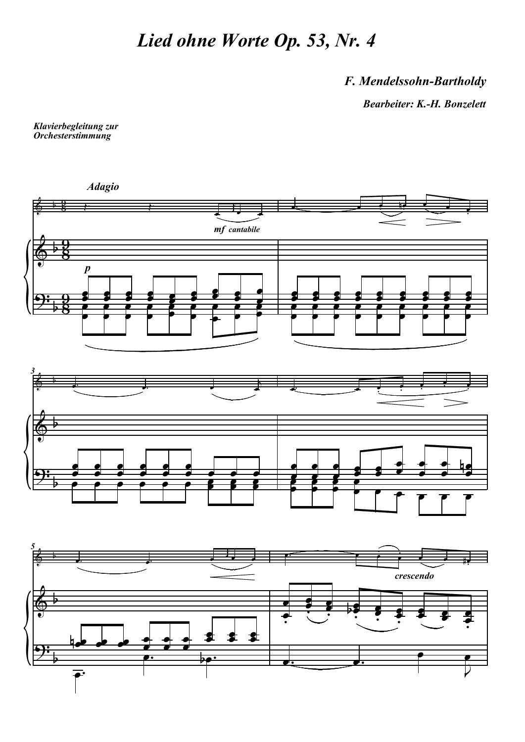## Lied ohne Worte Op. 53, Nr. 4

F. Mendelssohn-Bartholdy

Bearbeiter: K.-H. Bonzelett

Klavierbegleitung zur Orchesterstimmung

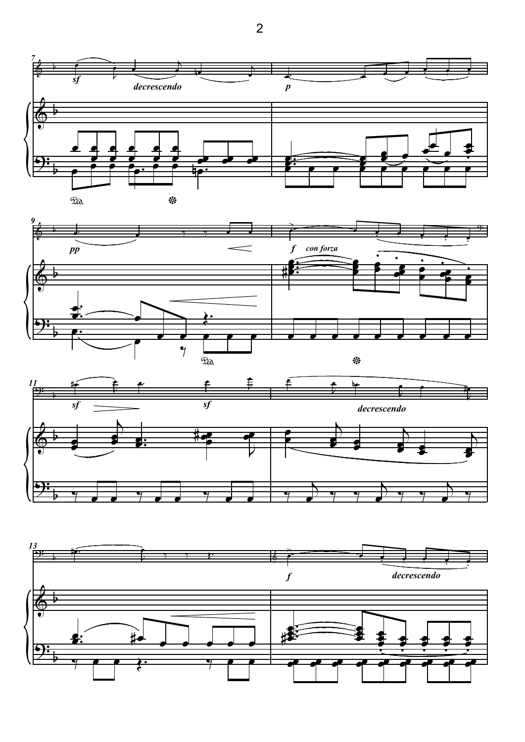





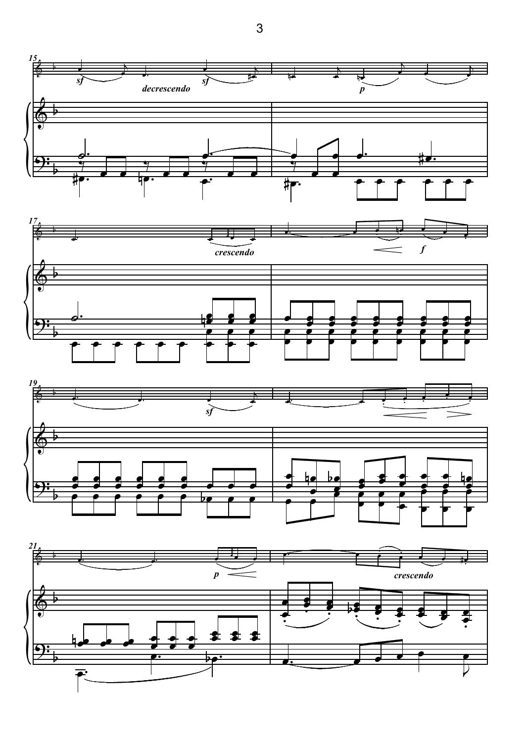







3